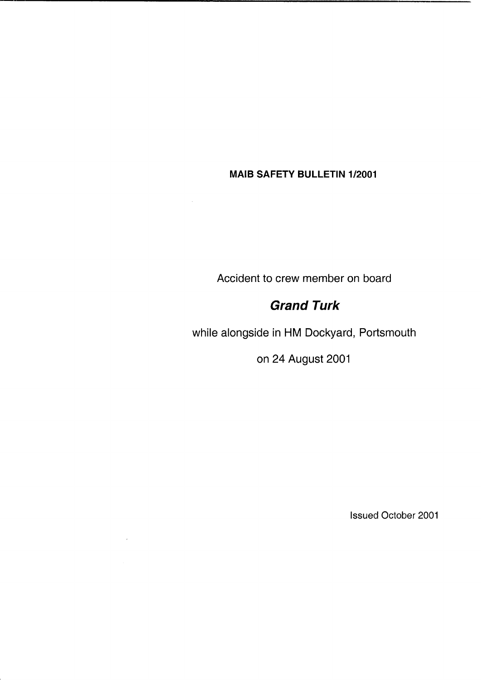## **MAlB SAFETY BULLETIN 1/2001**

Accident to crew member on board

# *Grand Turk*

while alongside in HM Dockyard, Portsmouth

on 24 August 2001

Issued October 2001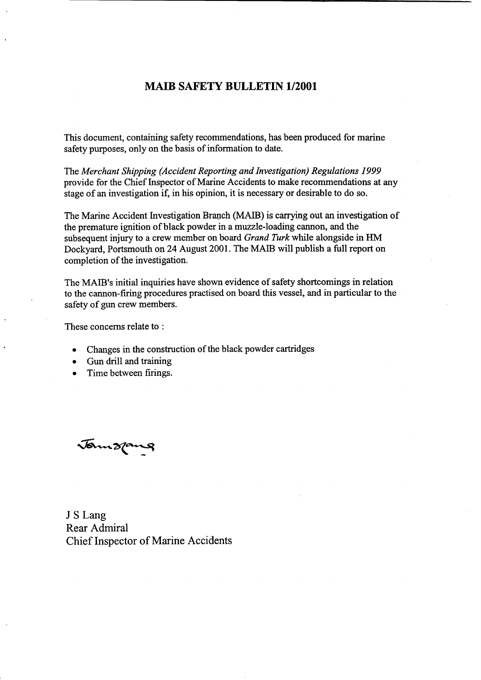#### **MAIB SAFETY BULLETIN 1/2001**

This document, containing safety recommendations, has been produced for marine safety purposes, only on the basis of information to date.

The *Merchant Shipping (Accident Reporting and Investigation) Regulations 1999*  provide for the Chief Inspector of Marine Accidents to make recommendations at any stage of an investigation if, in his opinion, it is necessary or desirable to do *so.* 

The Marine Accident Investigation Branch **(MAIB)** is carrying out an investigation of the premature ignition of black powder in a muzzle-loading cannon, and the subsequent injury to a crew member on board *Grand Turk* while alongside in HM Dockyard, Portsmouth on **24** August 2001. The **MAIB** will publish a full report on completion of the investigation.

The MAIB'S initial inquiries have shown evidence of safety shortcomings in relation to the cannon-firing procedures practised on board this vessel, and in particular to the safety of gun crew members.

These concerns relate to :

- Changes in the construction of the black powder cartridges  $\bullet$
- Gun drill and training  $\bullet$
- Time between firings.

Jamsping

J **S** Lang Rear Admiral Chief Inspector of Marine Accidents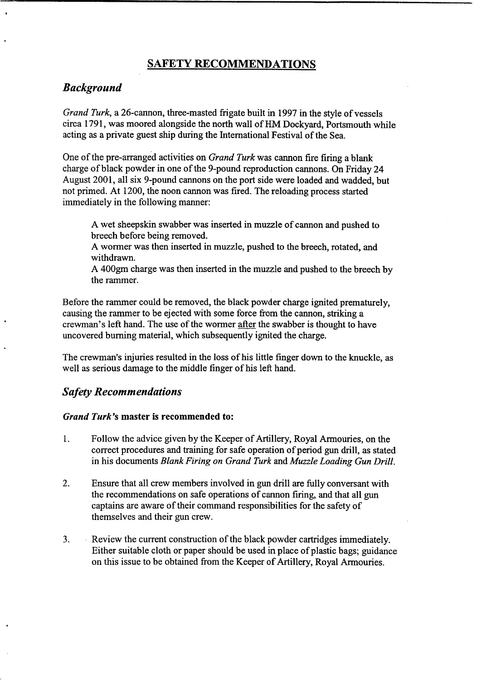### **SAFETY RECOMMENDATIONS**

### *Background*

*Grand Turk,* a 26-cannon, three-masted frigate built in 1997 in the style of vessels circa 1791, was moored alongside the north wall of HM Dockyard, Portsmouth while acting **as** a private guest ship during the International Festival of the Sea.

One of the pre-arranged activities on *Grand Turk* was cannon fire firing a blank charge of black powder in one of the 9-pound reproduction cannons. On Friday **24**  August 2001, all six 9-pound cannons on the port side were loaded and wadded, but not primed. At 1200, the noon cannon was fired. The reloading process started immediately in the following manner:

A wet sheepskin swabber was inserted in muzzle of cannon and pushed to breech before being removed.

A wormer was then inserted in muzzle, pushed to the breech, rotated, and withdrawn.

**A 400gm** charge was then inserted in the muzzle and pushed to the breech by the rammer.

Before the rammer could be removed, the black powder charge ignited prematurely, causing the rammer to be ejected with some force from the cannon, striking a crewman's left hand. The use of the wormer after the swabber is thought to have uncovered burning material, which subsequently ignited the charge.

The crewman's injuries resulted in the loss of his little finger down to the knuckle, as well as serious damage to the middle finger of his left hand.

### *Safety Recommendations*

#### *Grand Turk's* **master is recommended to:**

- 1. Follow the advice given by the Keeper of Artillery, Royal Armouries, on the correct procedures and training for safe operation of period gun drill, as stated in his documents *Blank Firing on Grand Turk* and *Muzzle Loading Gun Drill.*
- **2.** Ensure that all crew members involved in *gun* drill are fully conversant with the recommendations on safe operations of cannon firing, and that all gun captains are aware of their command responsibilities for the safety of themselves and their gun crew.
- **3.** Review the current construction of the black powder cartridges immediately. Either suitable cloth or paper should be used in place of plastic bags; guidance on this issue to be obtained from the Keeper of Artillery, Royal Armouries.